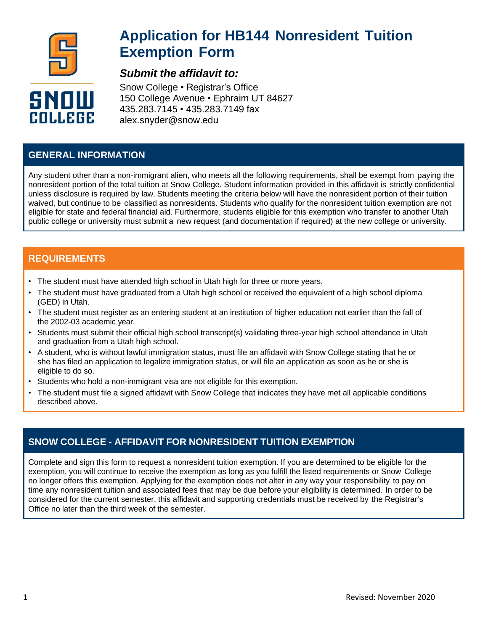

# **Application for HB144 Nonresident Tuition Exemption Form**

## *Submit the affidavit to:*

Snow College • Registrar's Office 150 College Avenue • Ephraim UT 84627 435.283.7145 • 435.283.7149 fax alex.snyder@snow.edu

### **GENERAL INFORMATION**

Any student other than a non-immigrant alien, who meets all the following requirements, shall be exempt from paying the nonresident portion of the total tuition at Snow College. Student information provided in this affidavit is strictly confidential unless disclosure is required by law. Students meeting the criteria below will have the nonresident portion of their tuition waived, but continue to be classified as nonresidents. Students who qualify for the nonresident tuition exemption are not eligible for state and federal financial aid. Furthermore, students eligible for this exemption who transfer to another Utah public college or university must submit a new request (and documentation if required) at the new college or university.

### **REQUIREMENTS**

- The student must have attended high school in Utah high for three or more years.
- The student must have graduated from a Utah high school or received the equivalent of a high school diploma (GED) in Utah.
- The student must register as an entering student at an institution of higher education not earlier than the fall of the 2002-03 academic year.
- Students must submit their official high school transcript(s) validating three-year high school attendance in Utah and graduation from a Utah high school.
- A student, who is without lawful immigration status, must file an affidavit with Snow College stating that he or she has filed an application to legalize immigration status, or will file an application as soon as he or she is eligible to do so.
- Students who hold a non-immigrant visa are not eligible for this exemption.
- The student must file a signed affidavit with Snow College that indicates they have met all applicable conditions described above.

### **SNOW COLLEGE - AFFIDAVIT FOR NONRESIDENT TUITION EXEMPTION**

Complete and sign this form to request a nonresident tuition exemption. If you are determined to be eligible for the exemption, you will continue to receive the exemption as long as you fulfill the listed requirements or Snow College no longer offers this exemption. Applying for the exemption does not alter in any way your responsibility to pay on time any nonresident tuition and associated fees that may be due before your eligibility is determined. In order to be considered for the current semester, this affidavit and supporting credentials must be received by the Registrar's Office no later than the third week of the semester.